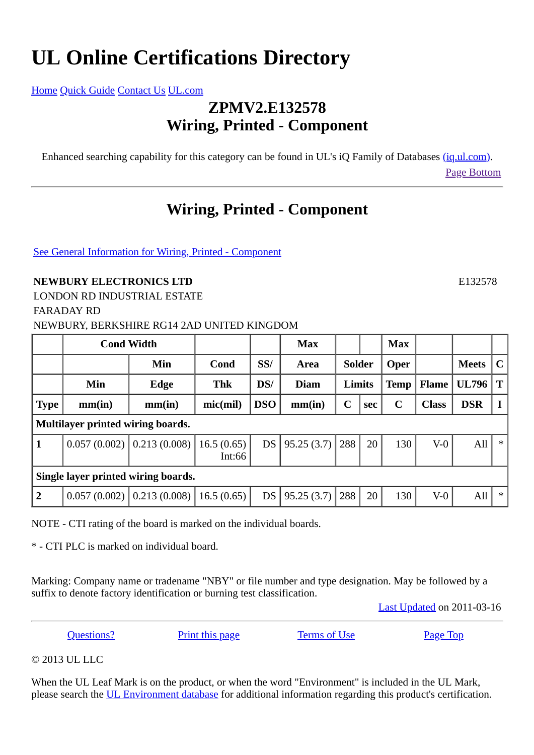## **UL Online Certifications Directory**

[Home](http://database.ul.com/cgi-bin/XYV/template/LISEXT/1FRAME/index.html) [Quick Guide](http://database.ul.com/cgi-bin/XYV/template/LISEXT/1FRAME/quickguide.html) [Contact Us](http://database.ul.com/cgi-bin/XYV/template/LISEXT/1FRAME/gassist.html) [UL.com](http://www.ul.com/)

## **ZPMV2.E132578 Wiring, Printed - Component**

Enhanced searching capability for this category can be found in UL's iQ Family of Databases [\(iq.ul.com\).](http://iq.ul.com/) [Page Bottom](http://database.ul.com/cgi-bin/XYV/template/LISEXT/1FRAME/showpage.html?name=ZPMV2.E132578&ccnshorttitle=Wiring,+Printed+-+Component&objid=1073817663&cfgid=1073741824&version=versionless&parent_id=1073814637&sequence=1#PAGEBOTTOM)

## **Wiring, Printed - Component**

[See General Information for Wiring, Printed - Component](http://database.ul.com/cgi-bin/XYV/template/LISEXT/1FRAME/showpage.html?&name=ZPMV2.GuideInfo&ccnshorttitle=Wiring,+Printed+-+Component&objid=1073814638&cfgid=1073741824&version=versionless&parent_id=1073814637&sequence=1)

## **NEWBURY ELECTRONICS LTD** E132578

LONDON RD INDUSTRIAL ESTATE FARADAY RD NEWBURY, BERKSHIRE RG14 2AD UNITED KINGDOM

|                                     | <b>Cond Width</b> |                                |                      |                 | <b>Max</b>  |             |     | <b>Max</b>  |              |              |              |
|-------------------------------------|-------------------|--------------------------------|----------------------|-----------------|-------------|-------------|-----|-------------|--------------|--------------|--------------|
|                                     |                   | Min                            | Cond                 | SS/             | Area        | Solder      |     | <b>Oper</b> |              | <b>Meets</b> | $\mathbf{C}$ |
|                                     | Min               | Edge                           | <b>Thk</b>           | DS/             | <b>Diam</b> | Limits      |     | <b>Temp</b> | <b>Flame</b> | <b>UL796</b> | $T \mid$     |
| <b>Type</b>                         | mm(in)            | mm(in)                         | mic(mil)             | <b>DSO</b>      | mm(in)      | $\mathbf C$ | sec | $\mathbf C$ | <b>Class</b> | <b>DSR</b>   | $\mathbf{I}$ |
| Multilayer printed wiring boards.   |                   |                                |                      |                 |             |             |     |             |              |              |              |
| $\mathbf{1}$                        |                   | $0.057(0.002)$ 0.213 (0.008)   | 16.5(0.65)<br>Int:66 | DS <sub>l</sub> | 95.25(3.7)  | 288         | 20  | 130         | $V-0$        | All          | $\ast$       |
| Single layer printed wiring boards. |                   |                                |                      |                 |             |             |     |             |              |              |              |
| $\overline{2}$                      |                   | $0.057(0.002)$ 0.213 $(0.008)$ | 16.5(0.65)           | DS <sub>1</sub> | 95.25(3.7)  | 288         | 20  | 130         | $V-0$        | All          | $\ast$       |

NOTE - CTI rating of the board is marked on the individual boards.

\* - CTI PLC is marked on individual board.

Marking: Company name or tradename "NBY" or file number and type designation. May be followed by a suffix to denote factory identification or burning test classification.

[Last Updated](javascript:openit() on 2011-03-16

**[Questions?](http://database.ul.com/cgi-bin/XYV/template/LISEXT/1FRAME/gassist.html)** [Print this page](javascript:window.print()) [Terms of Use](http://database.ul.com/cgi-bin/XYV/template/LISEXT/1FRAME/terms_of_use.html) [Page Top](http://database.ul.com/cgi-bin/XYV/template/LISEXT/1FRAME/showpage.html?name=ZPMV2.E132578&ccnshorttitle=Wiring,+Printed+-+Component&objid=1073817663&cfgid=1073741824&version=versionless&parent_id=1073814637&sequence=1#PAGETOP)

© 2013 UL LLC

When the UL Leaf Mark is on the product, or when the word "Environment" is included in the UL Mark, please search the [UL Environment database](http://www.ul.com/global/eng/pages/offerings/businesses/environment/databasesearch/iframe/index.jsp) for additional information regarding this product's certification.